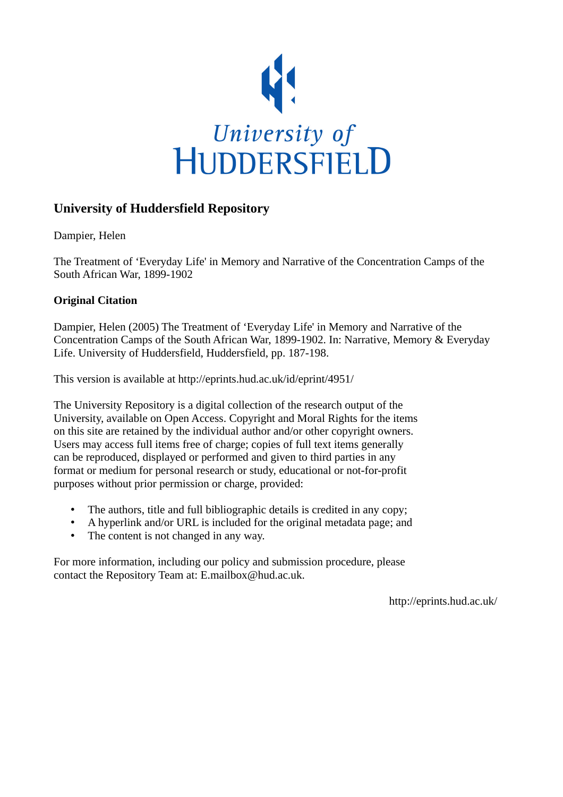

## **University of Huddersfield Repository**

Dampier, Helen

The Treatment of 'Everyday Life' in Memory and Narrative of the Concentration Camps of the South African War, 1899-1902

### **Original Citation**

Dampier, Helen (2005) The Treatment of 'Everyday Life' in Memory and Narrative of the Concentration Camps of the South African War, 1899-1902. In: Narrative, Memory & Everyday Life. University of Huddersfield, Huddersfield, pp. 187-198.

This version is available at http://eprints.hud.ac.uk/id/eprint/4951/

The University Repository is a digital collection of the research output of the University, available on Open Access. Copyright and Moral Rights for the items on this site are retained by the individual author and/or other copyright owners. Users may access full items free of charge; copies of full text items generally can be reproduced, displayed or performed and given to third parties in any format or medium for personal research or study, educational or not-for-profit purposes without prior permission or charge, provided:

- The authors, title and full bibliographic details is credited in any copy;
- A hyperlink and/or URL is included for the original metadata page; and
- The content is not changed in any way.

For more information, including our policy and submission procedure, please contact the Repository Team at: E.mailbox@hud.ac.uk.

http://eprints.hud.ac.uk/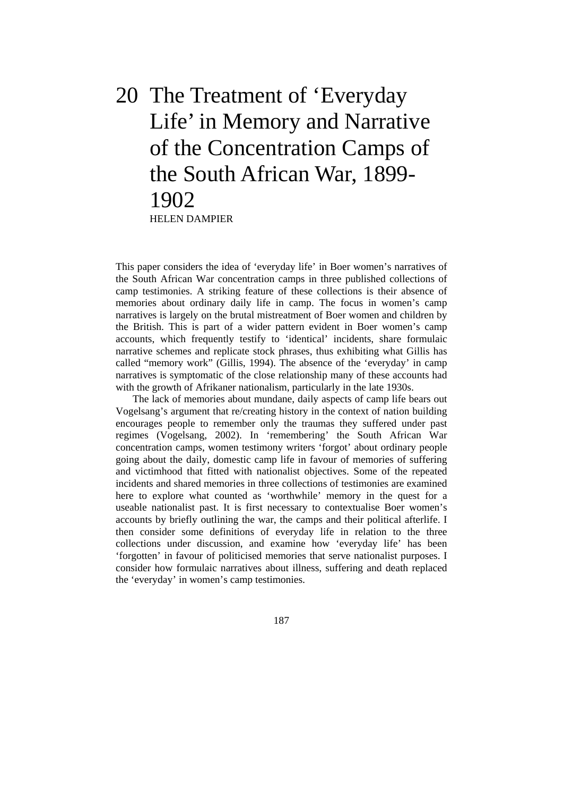# 20 The Treatment of 'Everyday Life' in Memory and Narrative of the Concentration Camps of the South African War, 1899- 1902 HELEN DAMPIER

This paper considers the idea of 'everyday life' in Boer women's narratives of the South African War concentration camps in three published collections of camp testimonies. A striking feature of these collections is their absence of memories about ordinary daily life in camp. The focus in women's camp narratives is largely on the brutal mistreatment of Boer women and children by the British. This is part of a wider pattern evident in Boer women's camp accounts, which frequently testify to 'identical' incidents, share formulaic narrative schemes and replicate stock phrases, thus exhibiting what Gillis has called "memory work" (Gillis, 1994). The absence of the 'everyday' in camp narratives is symptomatic of the close relationship many of these accounts had with the growth of Afrikaner nationalism, particularly in the late 1930s.

 The lack of memories about mundane, daily aspects of camp life bears out Vogelsang's argument that re/creating history in the context of nation building encourages people to remember only the traumas they suffered under past regimes (Vogelsang, 2002). In 'remembering' the South African War concentration camps, women testimony writers 'forgot' about ordinary people going about the daily, domestic camp life in favour of memories of suffering and victimhood that fitted with nationalist objectives. Some of the repeated incidents and shared memories in three collections of testimonies are examined here to explore what counted as 'worthwhile' memory in the quest for a useable nationalist past. It is first necessary to contextualise Boer women's accounts by briefly outlining the war, the camps and their political afterlife. I then consider some definitions of everyday life in relation to the three collections under discussion, and examine how 'everyday life' has been 'forgotten' in favour of politicised memories that serve nationalist purposes. I consider how formulaic narratives about illness, suffering and death replaced the 'everyday' in women's camp testimonies.

187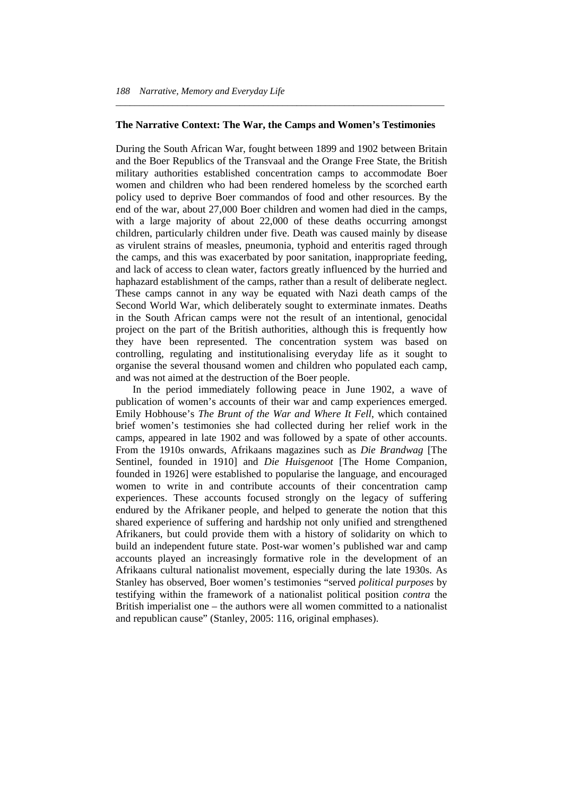#### **The Narrative Context: The War, the Camps and Women's Testimonies**

*\_\_\_\_\_\_\_\_\_\_\_\_\_\_\_\_\_\_\_\_\_\_\_\_\_\_\_\_\_\_\_\_\_\_\_\_\_\_\_\_\_\_\_\_\_\_\_\_\_\_\_\_\_\_\_\_\_\_\_\_\_\_\_\_\_\_\_\_\_* 

During the South African War, fought between 1899 and 1902 between Britain and the Boer Republics of the Transvaal and the Orange Free State, the British military authorities established concentration camps to accommodate Boer women and children who had been rendered homeless by the scorched earth policy used to deprive Boer commandos of food and other resources. By the end of the war, about 27,000 Boer children and women had died in the camps, with a large majority of about 22,000 of these deaths occurring amongst children, particularly children under five. Death was caused mainly by disease as virulent strains of measles, pneumonia, typhoid and enteritis raged through the camps, and this was exacerbated by poor sanitation, inappropriate feeding, and lack of access to clean water, factors greatly influenced by the hurried and haphazard establishment of the camps, rather than a result of deliberate neglect. These camps cannot in any way be equated with Nazi death camps of the Second World War, which deliberately sought to exterminate inmates. Deaths in the South African camps were not the result of an intentional, genocidal project on the part of the British authorities, although this is frequently how they have been represented. The concentration system was based on controlling, regulating and institutionalising everyday life as it sought to organise the several thousand women and children who populated each camp, and was not aimed at the destruction of the Boer people.

 In the period immediately following peace in June 1902, a wave of publication of women's accounts of their war and camp experiences emerged. Emily Hobhouse's *The Brunt of the War and Where It Fell*, which contained brief women's testimonies she had collected during her relief work in the camps, appeared in late 1902 and was followed by a spate of other accounts. From the 1910s onwards, Afrikaans magazines such as *Die Brandwag* [The Sentinel, founded in 1910] and *Die Huisgenoot* [The Home Companion, founded in 1926] were established to popularise the language, and encouraged women to write in and contribute accounts of their concentration camp experiences. These accounts focused strongly on the legacy of suffering endured by the Afrikaner people, and helped to generate the notion that this shared experience of suffering and hardship not only unified and strengthened Afrikaners, but could provide them with a history of solidarity on which to build an independent future state. Post-war women's published war and camp accounts played an increasingly formative role in the development of an Afrikaans cultural nationalist movement, especially during the late 1930s. As Stanley has observed, Boer women's testimonies "served *political purposes* by testifying within the framework of a nationalist political position *contra* the British imperialist one – the authors were all women committed to a nationalist and republican cause" (Stanley, 2005: 116, original emphases).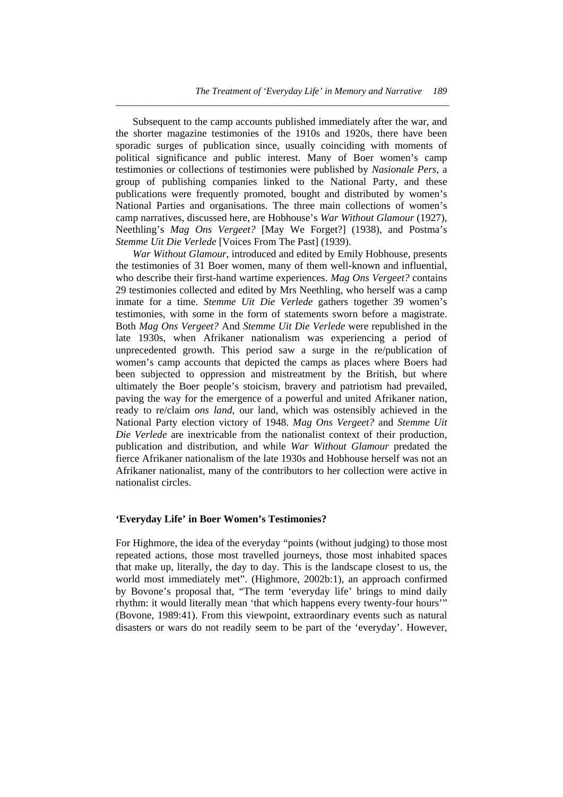Subsequent to the camp accounts published immediately after the war, and the shorter magazine testimonies of the 1910s and 1920s, there have been sporadic surges of publication since, usually coinciding with moments of political significance and public interest. Many of Boer women's camp testimonies or collections of testimonies were published by *Nasionale Pers*, a group of publishing companies linked to the National Party, and these publications were frequently promoted, bought and distributed by women's National Parties and organisations. The three main collections of women's camp narratives, discussed here, are Hobhouse's *War Without Glamour* (1927), Neethling's *Mag Ons Vergeet?* [May We Forget?] (1938), and Postma's *Stemme Uit Die Verlede* [Voices From The Past] (1939).

*\_\_\_\_\_\_\_\_\_\_\_\_\_\_\_\_\_\_\_\_\_\_\_\_\_\_\_\_\_\_\_\_\_\_\_\_\_\_\_\_\_\_\_\_\_\_\_\_\_\_\_\_\_\_\_\_\_\_\_\_\_\_\_\_\_\_\_\_\_\_* 

*War Without Glamour*, introduced and edited by Emily Hobhouse, presents the testimonies of 31 Boer women, many of them well-known and influential, who describe their first-hand wartime experiences. *Mag Ons Vergeet?* contains 29 testimonies collected and edited by Mrs Neethling, who herself was a camp inmate for a time. *Stemme Uit Die Verlede* gathers together 39 women's testimonies, with some in the form of statements sworn before a magistrate. Both *Mag Ons Vergeet?* And *Stemme Uit Die Verlede* were republished in the late 1930s, when Afrikaner nationalism was experiencing a period of unprecedented growth. This period saw a surge in the re/publication of women's camp accounts that depicted the camps as places where Boers had been subjected to oppression and mistreatment by the British, but where ultimately the Boer people's stoicism, bravery and patriotism had prevailed, paving the way for the emergence of a powerful and united Afrikaner nation, ready to re/claim *ons land*, our land, which was ostensibly achieved in the National Party election victory of 1948. *Mag Ons Vergeet?* and *Stemme Uit Die Verlede* are inextricable from the nationalist context of their production, publication and distribution, and while *War Without Glamour* predated the fierce Afrikaner nationalism of the late 1930s and Hobhouse herself was not an Afrikaner nationalist, many of the contributors to her collection were active in nationalist circles.

#### **'Everyday Life' in Boer Women's Testimonies?**

For Highmore, the idea of the everyday "points (without judging) to those most repeated actions, those most travelled journeys, those most inhabited spaces that make up, literally, the day to day. This is the landscape closest to us, the world most immediately met". (Highmore, 2002b:1), an approach confirmed by Bovone's proposal that, "The term 'everyday life' brings to mind daily rhythm: it would literally mean 'that which happens every twenty-four hours'" (Bovone, 1989:41). From this viewpoint, extraordinary events such as natural disasters or wars do not readily seem to be part of the 'everyday'. However,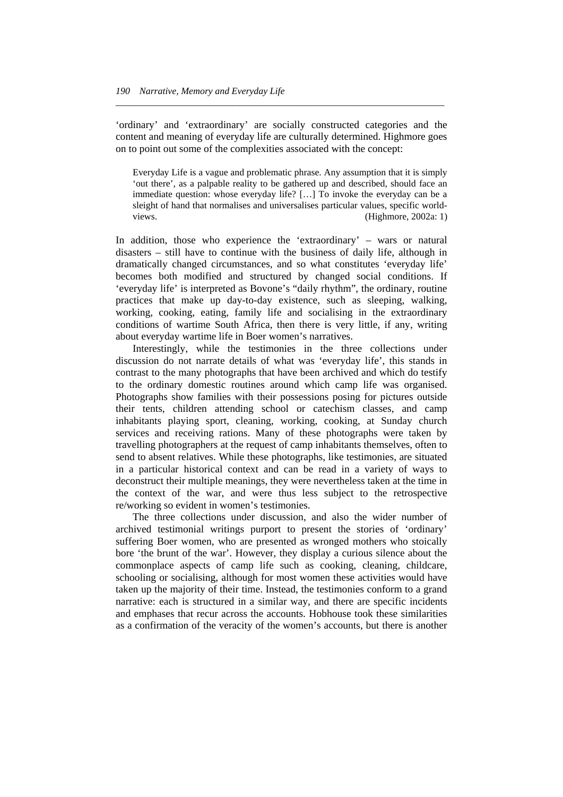'ordinary' and 'extraordinary' are socially constructed categories and the content and meaning of everyday life are culturally determined. Highmore goes on to point out some of the complexities associated with the concept:

*\_\_\_\_\_\_\_\_\_\_\_\_\_\_\_\_\_\_\_\_\_\_\_\_\_\_\_\_\_\_\_\_\_\_\_\_\_\_\_\_\_\_\_\_\_\_\_\_\_\_\_\_\_\_\_\_\_\_\_\_\_\_\_\_\_\_\_\_\_* 

Everyday Life is a vague and problematic phrase. Any assumption that it is simply 'out there', as a palpable reality to be gathered up and described, should face an immediate question: whose everyday life? […] To invoke the everyday can be a sleight of hand that normalises and universalises particular values, specific worldviews. (Highmore, 2002a: 1)

In addition, those who experience the 'extraordinary' – wars or natural disasters – still have to continue with the business of daily life, although in dramatically changed circumstances, and so what constitutes 'everyday life' becomes both modified and structured by changed social conditions. If 'everyday life' is interpreted as Bovone's "daily rhythm", the ordinary, routine practices that make up day-to-day existence, such as sleeping, walking, working, cooking, eating, family life and socialising in the extraordinary conditions of wartime South Africa, then there is very little, if any, writing about everyday wartime life in Boer women's narratives.

 Interestingly, while the testimonies in the three collections under discussion do not narrate details of what was 'everyday life', this stands in contrast to the many photographs that have been archived and which do testify to the ordinary domestic routines around which camp life was organised. Photographs show families with their possessions posing for pictures outside their tents, children attending school or catechism classes, and camp inhabitants playing sport, cleaning, working, cooking, at Sunday church services and receiving rations. Many of these photographs were taken by travelling photographers at the request of camp inhabitants themselves, often to send to absent relatives. While these photographs, like testimonies, are situated in a particular historical context and can be read in a variety of ways to deconstruct their multiple meanings, they were nevertheless taken at the time in the context of the war, and were thus less subject to the retrospective re/working so evident in women's testimonies.

 The three collections under discussion, and also the wider number of archived testimonial writings purport to present the stories of 'ordinary' suffering Boer women, who are presented as wronged mothers who stoically bore 'the brunt of the war'. However, they display a curious silence about the commonplace aspects of camp life such as cooking, cleaning, childcare, schooling or socialising, although for most women these activities would have taken up the majority of their time. Instead, the testimonies conform to a grand narrative: each is structured in a similar way, and there are specific incidents and emphases that recur across the accounts. Hobhouse took these similarities as a confirmation of the veracity of the women's accounts, but there is another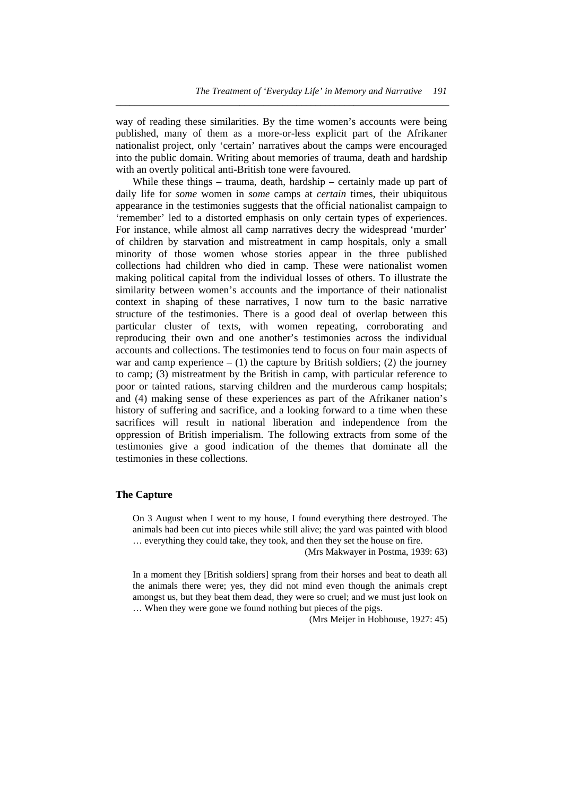way of reading these similarities. By the time women's accounts were being published, many of them as a more-or-less explicit part of the Afrikaner nationalist project, only 'certain' narratives about the camps were encouraged into the public domain. Writing about memories of trauma, death and hardship with an overtly political anti-British tone were favoured.

*\_\_\_\_\_\_\_\_\_\_\_\_\_\_\_\_\_\_\_\_\_\_\_\_\_\_\_\_\_\_\_\_\_\_\_\_\_\_\_\_\_\_\_\_\_\_\_\_\_\_\_\_\_\_\_\_\_\_\_\_\_\_\_\_\_\_\_\_\_\_* 

While these things – trauma, death, hardship – certainly made up part of daily life for *some* women in *some* camps at *certain* times, their ubiquitous appearance in the testimonies suggests that the official nationalist campaign to 'remember' led to a distorted emphasis on only certain types of experiences. For instance, while almost all camp narratives decry the widespread 'murder' of children by starvation and mistreatment in camp hospitals, only a small minority of those women whose stories appear in the three published collections had children who died in camp. These were nationalist women making political capital from the individual losses of others. To illustrate the similarity between women's accounts and the importance of their nationalist context in shaping of these narratives, I now turn to the basic narrative structure of the testimonies. There is a good deal of overlap between this particular cluster of texts, with women repeating, corroborating and reproducing their own and one another's testimonies across the individual accounts and collections. The testimonies tend to focus on four main aspects of war and camp experience  $- (1)$  the capture by British soldiers; (2) the journey to camp; (3) mistreatment by the British in camp, with particular reference to poor or tainted rations, starving children and the murderous camp hospitals; and (4) making sense of these experiences as part of the Afrikaner nation's history of suffering and sacrifice, and a looking forward to a time when these sacrifices will result in national liberation and independence from the oppression of British imperialism. The following extracts from some of the testimonies give a good indication of the themes that dominate all the testimonies in these collections.

#### **The Capture**

On 3 August when I went to my house, I found everything there destroyed. The animals had been cut into pieces while still alive; the yard was painted with blood … everything they could take, they took, and then they set the house on fire.

(Mrs Makwayer in Postma, 1939: 63)

In a moment they [British soldiers] sprang from their horses and beat to death all the animals there were; yes, they did not mind even though the animals crept amongst us, but they beat them dead, they were so cruel; and we must just look on … When they were gone we found nothing but pieces of the pigs.

(Mrs Meijer in Hobhouse, 1927: 45)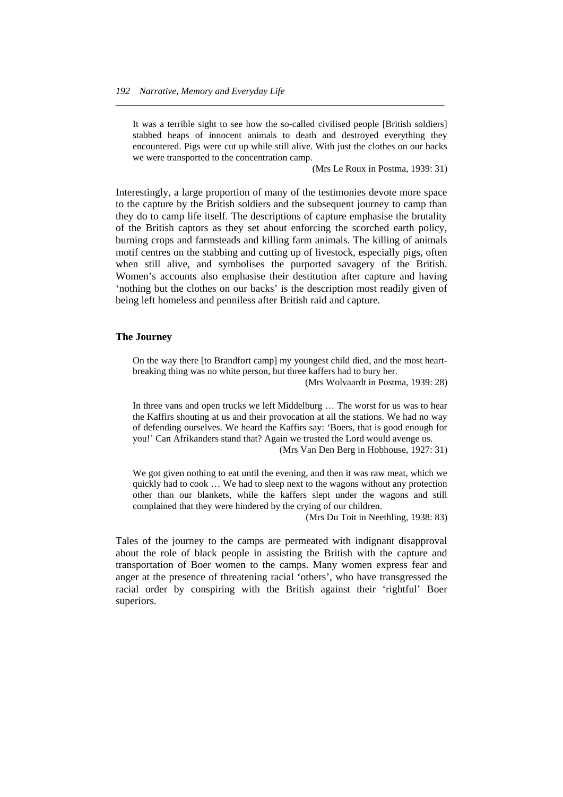It was a terrible sight to see how the so-called civilised people [British soldiers] stabbed heaps of innocent animals to death and destroyed everything they encountered. Pigs were cut up while still alive. With just the clothes on our backs we were transported to the concentration camp.

*\_\_\_\_\_\_\_\_\_\_\_\_\_\_\_\_\_\_\_\_\_\_\_\_\_\_\_\_\_\_\_\_\_\_\_\_\_\_\_\_\_\_\_\_\_\_\_\_\_\_\_\_\_\_\_\_\_\_\_\_\_\_\_\_\_\_\_\_\_* 

(Mrs Le Roux in Postma, 1939: 31)

Interestingly, a large proportion of many of the testimonies devote more space to the capture by the British soldiers and the subsequent journey to camp than they do to camp life itself. The descriptions of capture emphasise the brutality of the British captors as they set about enforcing the scorched earth policy, burning crops and farmsteads and killing farm animals. The killing of animals motif centres on the stabbing and cutting up of livestock, especially pigs, often when still alive, and symbolises the purported savagery of the British. Women's accounts also emphasise their destitution after capture and having 'nothing but the clothes on our backs' is the description most readily given of being left homeless and penniless after British raid and capture.

#### **The Journey**

On the way there [to Brandfort camp] my youngest child died, and the most heartbreaking thing was no white person, but three kaffers had to bury her.

(Mrs Wolvaardt in Postma, 1939: 28)

In three vans and open trucks we left Middelburg … The worst for us was to hear the Kaffirs shouting at us and their provocation at all the stations. We had no way of defending ourselves. We heard the Kaffirs say: 'Boers, that is good enough for you!' Can Afrikanders stand that? Again we trusted the Lord would avenge us.

(Mrs Van Den Berg in Hobhouse, 1927: 31)

We got given nothing to eat until the evening, and then it was raw meat, which we quickly had to cook … We had to sleep next to the wagons without any protection other than our blankets, while the kaffers slept under the wagons and still complained that they were hindered by the crying of our children.

(Mrs Du Toit in Neethling, 1938: 83)

Tales of the journey to the camps are permeated with indignant disapproval about the role of black people in assisting the British with the capture and transportation of Boer women to the camps. Many women express fear and anger at the presence of threatening racial 'others', who have transgressed the racial order by conspiring with the British against their 'rightful' Boer superiors.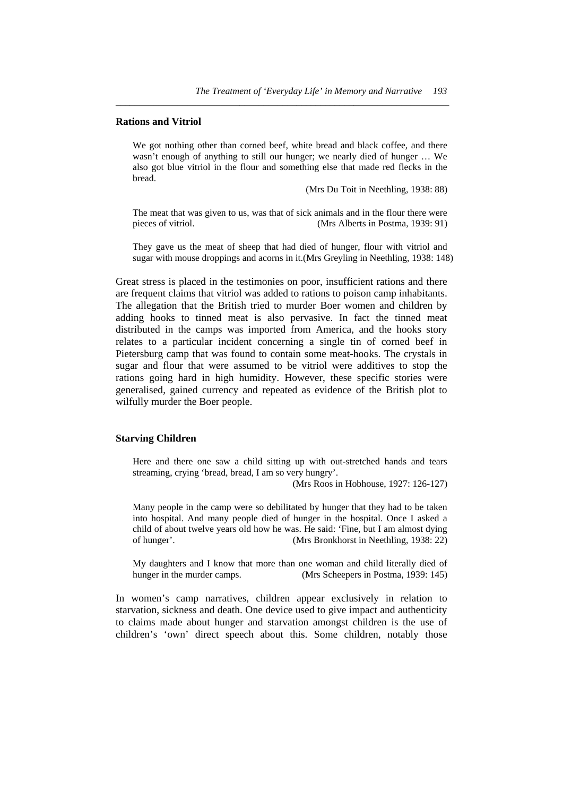#### **Rations and Vitriol**

We got nothing other than corned beef, white bread and black coffee, and there wasn't enough of anything to still our hunger; we nearly died of hunger … We also got blue vitriol in the flour and something else that made red flecks in the bread.

*\_\_\_\_\_\_\_\_\_\_\_\_\_\_\_\_\_\_\_\_\_\_\_\_\_\_\_\_\_\_\_\_\_\_\_\_\_\_\_\_\_\_\_\_\_\_\_\_\_\_\_\_\_\_\_\_\_\_\_\_\_\_\_\_\_\_\_\_\_\_* 

(Mrs Du Toit in Neethling, 1938: 88)

The meat that was given to us, was that of sick animals and in the flour there were pieces of vitriol. (Mrs Alberts in Postma, 1939: 91)

They gave us the meat of sheep that had died of hunger, flour with vitriol and sugar with mouse droppings and acorns in it.(Mrs Greyling in Neethling, 1938: 148)

Great stress is placed in the testimonies on poor, insufficient rations and there are frequent claims that vitriol was added to rations to poison camp inhabitants. The allegation that the British tried to murder Boer women and children by adding hooks to tinned meat is also pervasive. In fact the tinned meat distributed in the camps was imported from America, and the hooks story relates to a particular incident concerning a single tin of corned beef in Pietersburg camp that was found to contain some meat-hooks. The crystals in sugar and flour that were assumed to be vitriol were additives to stop the rations going hard in high humidity. However, these specific stories were generalised, gained currency and repeated as evidence of the British plot to wilfully murder the Boer people.

#### **Starving Children**

Here and there one saw a child sitting up with out-stretched hands and tears streaming, crying 'bread, bread, I am so very hungry'.

(Mrs Roos in Hobhouse, 1927: 126-127)

Many people in the camp were so debilitated by hunger that they had to be taken into hospital. And many people died of hunger in the hospital. Once I asked a child of about twelve years old how he was. He said: 'Fine, but I am almost dying of hunger'. (Mrs Bronkhorst in Neethling, 1938: 22)

My daughters and I know that more than one woman and child literally died of hunger in the murder camps. (Mrs Scheepers in Postma, 1939: 145)

In women's camp narratives, children appear exclusively in relation to starvation, sickness and death. One device used to give impact and authenticity to claims made about hunger and starvation amongst children is the use of children's 'own' direct speech about this. Some children, notably those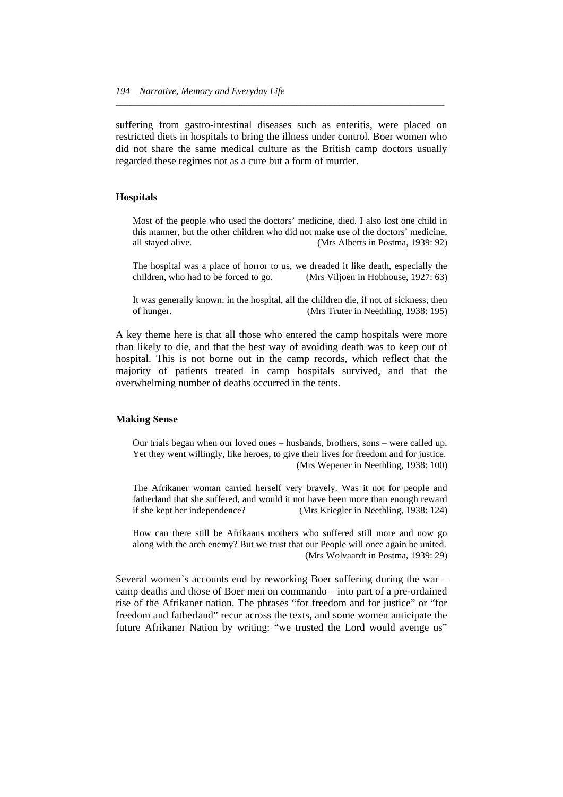suffering from gastro-intestinal diseases such as enteritis, were placed on restricted diets in hospitals to bring the illness under control. Boer women who did not share the same medical culture as the British camp doctors usually regarded these regimes not as a cure but a form of murder.

*\_\_\_\_\_\_\_\_\_\_\_\_\_\_\_\_\_\_\_\_\_\_\_\_\_\_\_\_\_\_\_\_\_\_\_\_\_\_\_\_\_\_\_\_\_\_\_\_\_\_\_\_\_\_\_\_\_\_\_\_\_\_\_\_\_\_\_\_\_* 

#### **Hospitals**

Most of the people who used the doctors' medicine, died. I also lost one child in this manner, but the other children who did not make use of the doctors' medicine, all stayed alive. (Mrs Alberts in Postma, 1939: 92)

The hospital was a place of horror to us, we dreaded it like death, especially the children, who had to be forced to go. (Mrs Viljoen in Hobhouse, 1927: 63)

It was generally known: in the hospital, all the children die, if not of sickness, then of hunger. (Mrs Truter in Neethling, 1938: 195)

A key theme here is that all those who entered the camp hospitals were more than likely to die, and that the best way of avoiding death was to keep out of hospital. This is not borne out in the camp records, which reflect that the majority of patients treated in camp hospitals survived, and that the overwhelming number of deaths occurred in the tents.

#### **Making Sense**

Our trials began when our loved ones – husbands, brothers, sons – were called up. Yet they went willingly, like heroes, to give their lives for freedom and for justice. (Mrs Wepener in Neethling, 1938: 100)

The Afrikaner woman carried herself very bravely. Was it not for people and fatherland that she suffered, and would it not have been more than enough reward if she kept her independence? (Mrs Kriegler in Neethling, 1938: 124)

How can there still be Afrikaans mothers who suffered still more and now go along with the arch enemy? But we trust that our People will once again be united. (Mrs Wolvaardt in Postma, 1939: 29)

Several women's accounts end by reworking Boer suffering during the war – camp deaths and those of Boer men on commando – into part of a pre-ordained rise of the Afrikaner nation. The phrases "for freedom and for justice" or "for freedom and fatherland" recur across the texts, and some women anticipate the future Afrikaner Nation by writing: "we trusted the Lord would avenge us"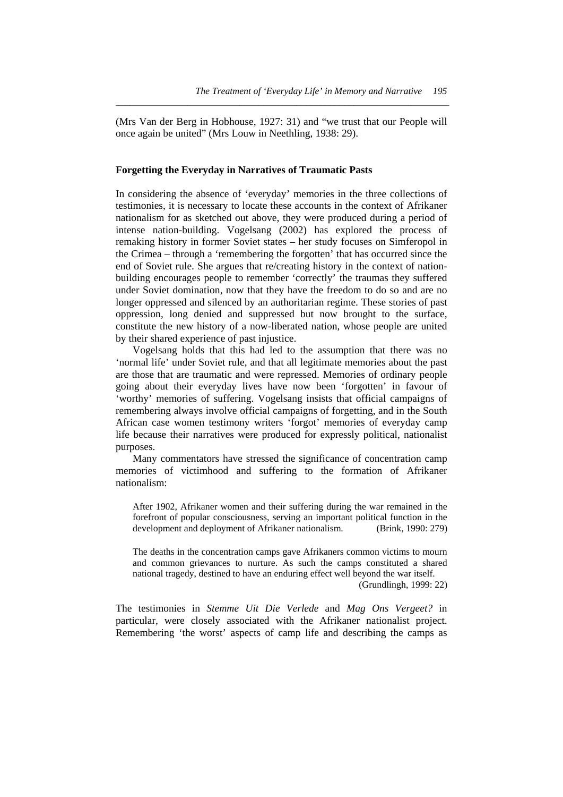(Mrs Van der Berg in Hobhouse, 1927: 31) and "we trust that our People will once again be united" (Mrs Louw in Neethling, 1938: 29).

*\_\_\_\_\_\_\_\_\_\_\_\_\_\_\_\_\_\_\_\_\_\_\_\_\_\_\_\_\_\_\_\_\_\_\_\_\_\_\_\_\_\_\_\_\_\_\_\_\_\_\_\_\_\_\_\_\_\_\_\_\_\_\_\_\_\_\_\_\_\_* 

#### **Forgetting the Everyday in Narratives of Traumatic Pasts**

In considering the absence of 'everyday' memories in the three collections of testimonies, it is necessary to locate these accounts in the context of Afrikaner nationalism for as sketched out above, they were produced during a period of intense nation-building. Vogelsang (2002) has explored the process of remaking history in former Soviet states – her study focuses on Simferopol in the Crimea – through a 'remembering the forgotten' that has occurred since the end of Soviet rule. She argues that re/creating history in the context of nationbuilding encourages people to remember 'correctly' the traumas they suffered under Soviet domination, now that they have the freedom to do so and are no longer oppressed and silenced by an authoritarian regime. These stories of past oppression, long denied and suppressed but now brought to the surface, constitute the new history of a now-liberated nation, whose people are united by their shared experience of past injustice.

 Vogelsang holds that this had led to the assumption that there was no 'normal life' under Soviet rule, and that all legitimate memories about the past are those that are traumatic and were repressed. Memories of ordinary people going about their everyday lives have now been 'forgotten' in favour of 'worthy' memories of suffering. Vogelsang insists that official campaigns of remembering always involve official campaigns of forgetting, and in the South African case women testimony writers 'forgot' memories of everyday camp life because their narratives were produced for expressly political, nationalist purposes.

 Many commentators have stressed the significance of concentration camp memories of victimhood and suffering to the formation of Afrikaner nationalism:

After 1902, Afrikaner women and their suffering during the war remained in the forefront of popular consciousness, serving an important political function in the development and deployment of Afrikaner nationalism. (Brink, 1990: 279)

The deaths in the concentration camps gave Afrikaners common victims to mourn and common grievances to nurture. As such the camps constituted a shared national tragedy, destined to have an enduring effect well beyond the war itself.

(Grundlingh, 1999: 22)

The testimonies in *Stemme Uit Die Verlede* and *Mag Ons Vergeet?* in particular, were closely associated with the Afrikaner nationalist project. Remembering 'the worst' aspects of camp life and describing the camps as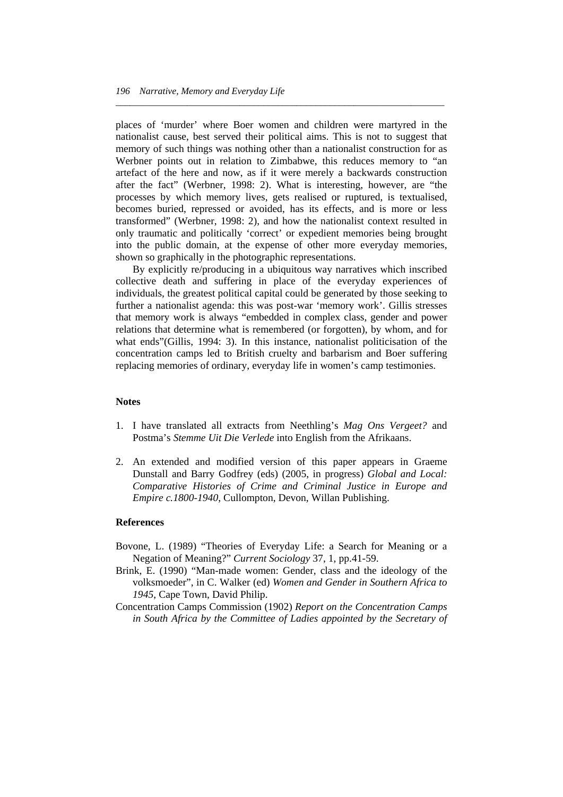places of 'murder' where Boer women and children were martyred in the nationalist cause, best served their political aims. This is not to suggest that memory of such things was nothing other than a nationalist construction for as Werbner points out in relation to Zimbabwe, this reduces memory to "an artefact of the here and now, as if it were merely a backwards construction after the fact" (Werbner, 1998: 2). What is interesting, however, are "the processes by which memory lives, gets realised or ruptured, is textualised, becomes buried, repressed or avoided, has its effects, and is more or less transformed" (Werbner, 1998: 2), and how the nationalist context resulted in only traumatic and politically 'correct' or expedient memories being brought into the public domain, at the expense of other more everyday memories, shown so graphically in the photographic representations.

*\_\_\_\_\_\_\_\_\_\_\_\_\_\_\_\_\_\_\_\_\_\_\_\_\_\_\_\_\_\_\_\_\_\_\_\_\_\_\_\_\_\_\_\_\_\_\_\_\_\_\_\_\_\_\_\_\_\_\_\_\_\_\_\_\_\_\_\_\_* 

 By explicitly re/producing in a ubiquitous way narratives which inscribed collective death and suffering in place of the everyday experiences of individuals, the greatest political capital could be generated by those seeking to further a nationalist agenda: this was post-war 'memory work'. Gillis stresses that memory work is always "embedded in complex class, gender and power relations that determine what is remembered (or forgotten), by whom, and for what ends"(Gillis, 1994: 3). In this instance, nationalist politicisation of the concentration camps led to British cruelty and barbarism and Boer suffering replacing memories of ordinary, everyday life in women's camp testimonies.

#### **Notes**

- 1. I have translated all extracts from Neethling's *Mag Ons Vergeet?* and Postma's *Stemme Uit Die Verlede* into English from the Afrikaans.
- 2. An extended and modified version of this paper appears in Graeme Dunstall and Barry Godfrey (eds) (2005, in progress) *Global and Local: Comparative Histories of Crime and Criminal Justice in Europe and Empire c.1800-1940*, Cullompton, Devon, Willan Publishing.

#### **References**

- Bovone, L. (1989) "Theories of Everyday Life: a Search for Meaning or a Negation of Meaning?" *Current Sociology* 37, 1, pp.41-59.
- Brink, E. (1990) "Man-made women: Gender, class and the ideology of the volksmoeder", in C. Walker (ed) *Women and Gender in Southern Africa to 1945*, Cape Town, David Philip.
- Concentration Camps Commission (1902) *Report on the Concentration Camps in South Africa by the Committee of Ladies appointed by the Secretary of*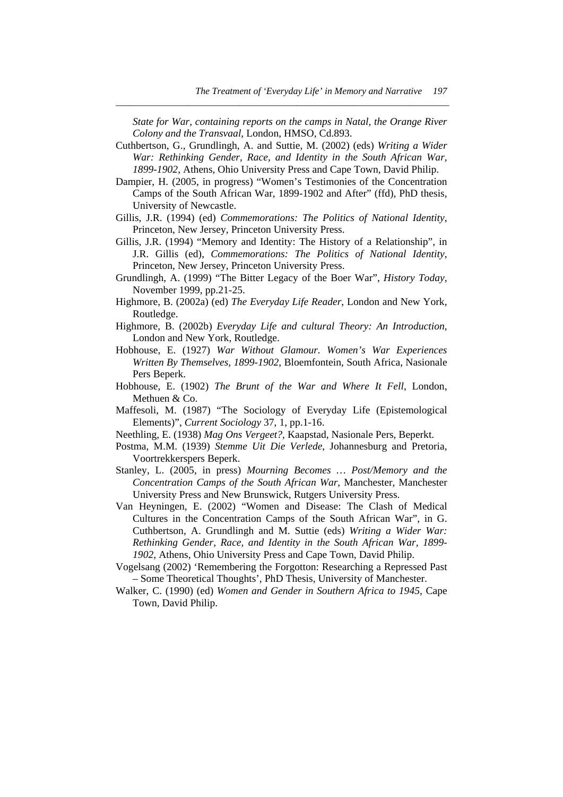*State for War, containing reports on the camps in Natal, the Orange River Colony and the Transvaal*, London, HMSO, Cd.893.

*\_\_\_\_\_\_\_\_\_\_\_\_\_\_\_\_\_\_\_\_\_\_\_\_\_\_\_\_\_\_\_\_\_\_\_\_\_\_\_\_\_\_\_\_\_\_\_\_\_\_\_\_\_\_\_\_\_\_\_\_\_\_\_\_\_\_\_\_\_\_* 

- Cuthbertson, G., Grundlingh, A. and Suttie, M. (2002) (eds) *Writing a Wider War: Rethinking Gender, Race, and Identity in the South African War, 1899-1902*, Athens, Ohio University Press and Cape Town, David Philip.
- Dampier, H. (2005, in progress) "Women's Testimonies of the Concentration Camps of the South African War, 1899-1902 and After" (ffd), PhD thesis, University of Newcastle.
- Gillis, J.R. (1994) (ed) *Commemorations: The Politics of National Identity*, Princeton, New Jersey, Princeton University Press.
- Gillis, J.R. (1994) "Memory and Identity: The History of a Relationship", in J.R. Gillis (ed), *Commemorations: The Politics of National Identity*, Princeton, New Jersey, Princeton University Press.
- Grundlingh, A. (1999) "The Bitter Legacy of the Boer War", *History Today*, November 1999, pp.21-25.
- Highmore, B. (2002a) (ed) *The Everyday Life Reader*, London and New York, Routledge.
- Highmore, B. (2002b) *Everyday Life and cultural Theory: An Introduction*, London and New York, Routledge.
- Hobhouse, E. (1927) *War Without Glamour. Women's War Experiences Written By Themselves, 1899-1902*, Bloemfontein, South Africa, Nasionale Pers Beperk.
- Hobhouse, E. (1902) *The Brunt of the War and Where It Fell*, London, Methuen & Co.
- Maffesoli, M. (1987) "The Sociology of Everyday Life (Epistemological Elements)", *Current Sociology* 37, 1, pp.1-16.
- Neethling, E. (1938) *Mag Ons Vergeet?*, Kaapstad, Nasionale Pers, Beperkt.
- Postma, M.M. (1939) *Stemme Uit Die Verlede*, Johannesburg and Pretoria, Voortrekkerspers Beperk.
- Stanley, L. (2005, in press) *Mourning Becomes … Post/Memory and the Concentration Camps of the South African War*, Manchester, Manchester University Press and New Brunswick, Rutgers University Press.
- Van Heyningen, E. (2002) "Women and Disease: The Clash of Medical Cultures in the Concentration Camps of the South African War", in G. Cuthbertson, A. Grundlingh and M. Suttie (eds) *Writing a Wider War: Rethinking Gender, Race, and Identity in the South African War, 1899- 1902*, Athens, Ohio University Press and Cape Town, David Philip.
- Vogelsang (2002) 'Remembering the Forgotton: Researching a Repressed Past – Some Theoretical Thoughts', PhD Thesis, University of Manchester.
- Walker, C. (1990) (ed) *Women and Gender in Southern Africa to 1945*, Cape Town, David Philip.